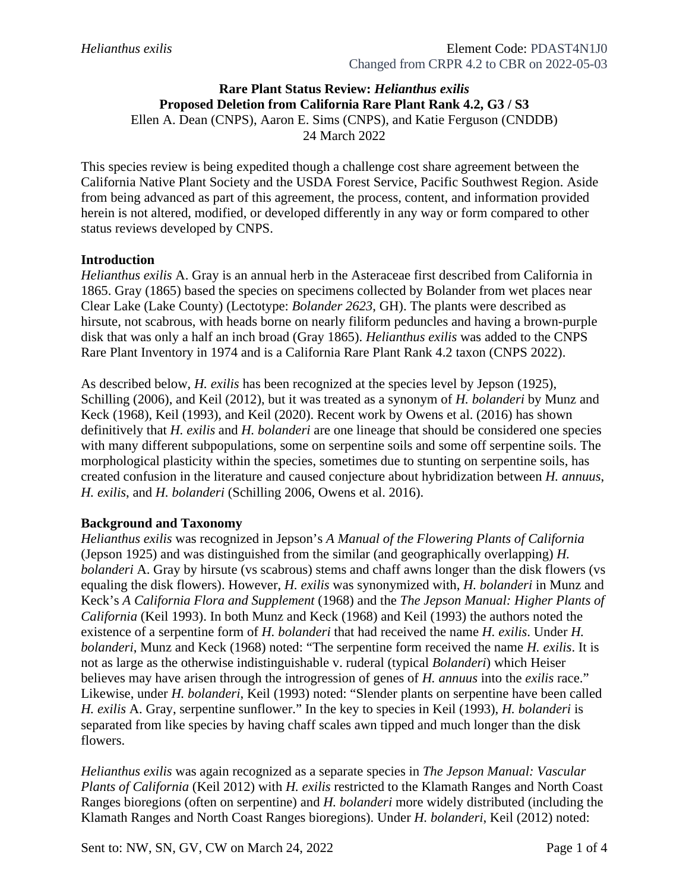# **Rare Plant Status Review:** *Helianthus exilis* **Proposed Deletion from California Rare Plant Rank 4.2, G3 / S3**

Ellen A. Dean (CNPS), Aaron E. Sims (CNPS), and Katie Ferguson (CNDDB)

24 March 2022

This species review is being expedited though a challenge cost share agreement between the California Native Plant Society and the USDA Forest Service, Pacific Southwest Region. Aside from being advanced as part of this agreement, the process, content, and information provided herein is not altered, modified, or developed differently in any way or form compared to other status reviews developed by CNPS.

### **Introduction**

*Helianthus exilis* A. Gray is an annual herb in the Asteraceae first described from California in 1865. Gray (1865) based the species on specimens collected by Bolander from wet places near Clear Lake (Lake County) (Lectotype: *Bolander 2623*, GH). The plants were described as hirsute, not scabrous, with heads borne on nearly filiform peduncles and having a brown-purple disk that was only a half an inch broad (Gray 1865). *Helianthus exilis* was added to the CNPS Rare Plant Inventory in 1974 and is a California Rare Plant Rank 4.2 taxon (CNPS 2022).

As described below, *H. exilis* has been recognized at the species level by Jepson (1925), Schilling (2006), and Keil (2012), but it was treated as a synonym of *H. bolanderi* by Munz and Keck (1968), Keil (1993), and Keil (2020). Recent work by Owens et al. (2016) has shown definitively that *H. exilis* and *H. bolanderi* are one lineage that should be considered one species with many different subpopulations, some on serpentine soils and some off serpentine soils. The morphological plasticity within the species, sometimes due to stunting on serpentine soils, has created confusion in the literature and caused conjecture about hybridization between *H. annuus*, *H. exilis*, and *H. bolanderi* (Schilling 2006, Owens et al. 2016).

#### **Background and Taxonomy**

*Helianthus exilis* was recognized in Jepson's *A Manual of the Flowering Plants of California* (Jepson 1925) and was distinguished from the similar (and geographically overlapping) *H. bolanderi* A. Gray by hirsute (vs scabrous) stems and chaff awns longer than the disk flowers (vs equaling the disk flowers). However, *H. exilis* was synonymized with, *H. bolanderi* in Munz and Keck's *A California Flora and Supplement* (1968) and the *The Jepson Manual: Higher Plants of California* (Keil 1993). In both Munz and Keck (1968) and Keil (1993) the authors noted the existence of a serpentine form of *H. bolanderi* that had received the name *H. exilis*. Under *H. bolanderi*, Munz and Keck (1968) noted: "The serpentine form received the name *H. exilis*. It is not as large as the otherwise indistinguishable v. ruderal (typical *Bolanderi*) which Heiser believes may have arisen through the introgression of genes of *H. annuus* into the *exilis* race." Likewise, under *H. bolanderi*, Keil (1993) noted: "Slender plants on serpentine have been called *H. exilis* A. Gray, serpentine sunflower." In the key to species in Keil (1993), *H. bolanderi* is separated from like species by having chaff scales awn tipped and much longer than the disk flowers.

*Helianthus exilis* was again recognized as a separate species in *The Jepson Manual: Vascular Plants of California* (Keil 2012) with *H. exilis* restricted to the Klamath Ranges and North Coast Ranges bioregions (often on serpentine) and *H. bolanderi* more widely distributed (including the Klamath Ranges and North Coast Ranges bioregions). Under *H. bolanderi*, Keil (2012) noted: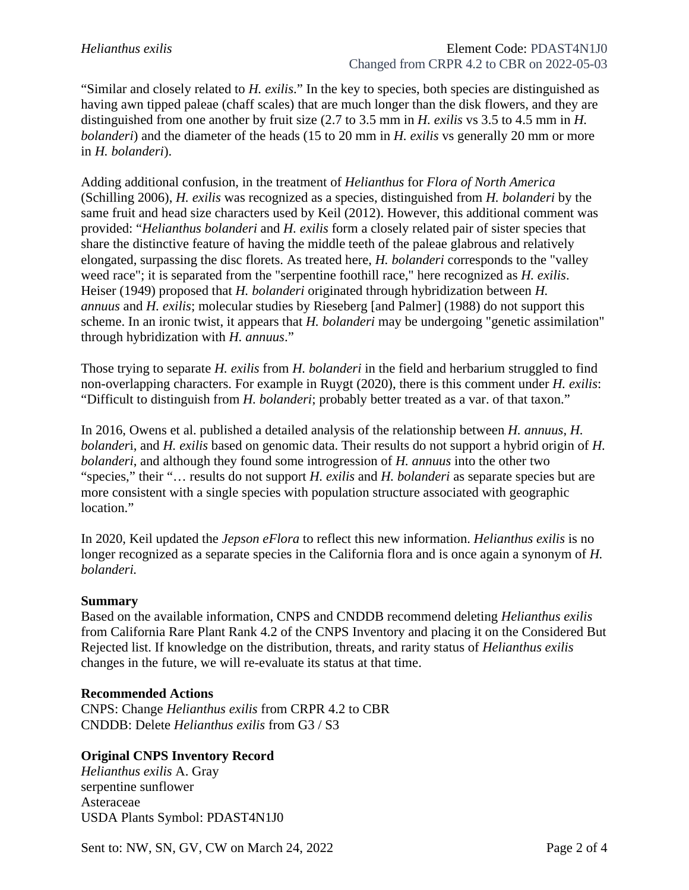"Similar and closely related to *H. exilis*." In the key to species, both species are distinguished as having awn tipped paleae (chaff scales) that are much longer than the disk flowers, and they are distinguished from one another by fruit size (2.7 to 3.5 mm in *H. exilis* vs 3.5 to 4.5 mm in *H. bolanderi*) and the diameter of the heads (15 to 20 mm in *H. exilis* vs generally 20 mm or more in *H. bolanderi*).

Adding additional confusion, in the treatment of *Helianthus* for *Flora of North America* (Schilling 2006), *H. exilis* was recognized as a species, distinguished from *H. bolanderi* by the same fruit and head size characters used by Keil (2012). However, this additional comment was provided: "*Helianthus bolanderi* and *H. exilis* form a closely related pair of sister species that share the distinctive feature of having the middle teeth of the paleae glabrous and relatively elongated, surpassing the disc florets. As treated here, *H. bolanderi* corresponds to the "valley weed race"; it is separated from the "serpentine foothill race," here recognized as *H. exilis*. Heiser (1949) proposed that *H. bolanderi* originated through hybridization between *H. annuus* and *H. exilis*; molecular studies by Rieseberg [and Palmer] (1988) do not support this scheme. In an ironic twist, it appears that *H. bolanderi* may be undergoing "genetic assimilation" through hybridization with *H. annuus*."

Those trying to separate *H. exilis* from *H. bolanderi* in the field and herbarium struggled to find non-overlapping characters. For example in Ruygt (2020), there is this comment under *H. exilis*: "Difficult to distinguish from *H. bolanderi*; probably better treated as a var. of that taxon."

In 2016, Owens et al. published a detailed analysis of the relationship between *H. annuus*, *H. bolander*i, and *H. exilis* based on genomic data. Their results do not support a hybrid origin of *H. bolanderi*, and although they found some introgression of *H. annuus* into the other two "species," their "… results do not support *H. exilis* and *H. bolanderi* as separate species but are more consistent with a single species with population structure associated with geographic location."

In 2020, Keil updated the *Jepson eFlora* to reflect this new information. *Helianthus exilis* is no longer recognized as a separate species in the California flora and is once again a synonym of *H*. *bolanderi.*

#### **Summary**

Based on the available information, CNPS and CNDDB recommend deleting *Helianthus exilis* from California Rare Plant Rank 4.2 of the CNPS Inventory and placing it on the Considered But Rejected list. If knowledge on the distribution, threats, and rarity status of *Helianthus exilis* changes in the future, we will re-evaluate its status at that time.

#### **Recommended Actions**

CNPS: Change *Helianthus exilis* from CRPR 4.2 to CBR CNDDB: Delete *Helianthus exilis* from G3 / S3

## **Original CNPS Inventory Record**

*Helianthus exilis* A. Gray serpentine sunflower Asteraceae USDA Plants Symbol: PDAST4N1J0

Sent to: NW, SN, GV, CW on March 24, 2022 Page 2 of 4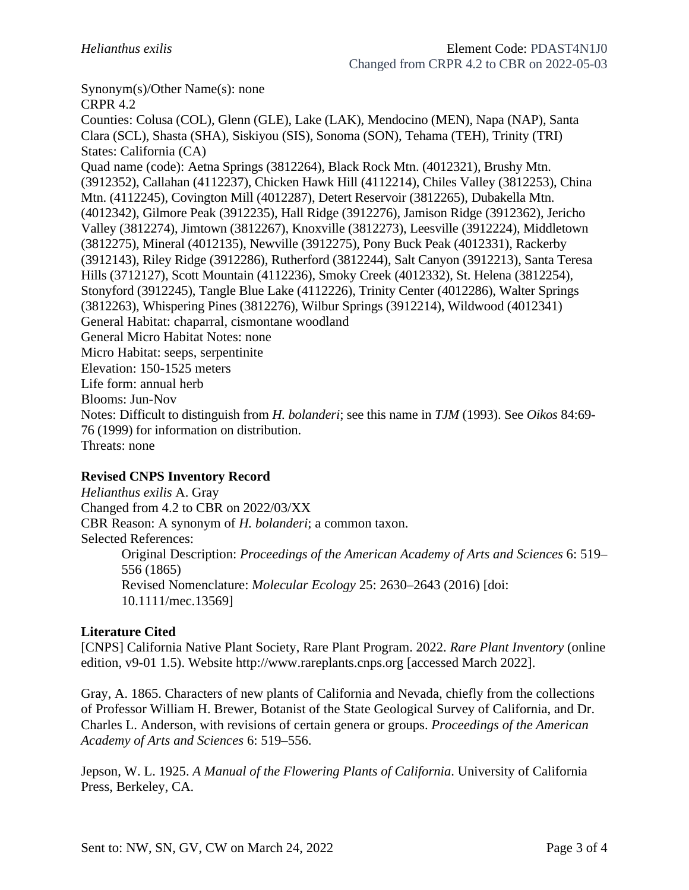Synonym(s)/Other Name(s): none

CRPR 4.2 Counties: Colusa (COL), Glenn (GLE), Lake (LAK), Mendocino (MEN), Napa (NAP), Santa Clara (SCL), Shasta (SHA), Siskiyou (SIS), Sonoma (SON), Tehama (TEH), Trinity (TRI) States: California (CA) Quad name (code): Aetna Springs (3812264), Black Rock Mtn. (4012321), Brushy Mtn. (3912352), Callahan (4112237), Chicken Hawk Hill (4112214), Chiles Valley (3812253), China Mtn. (4112245), Covington Mill (4012287), Detert Reservoir (3812265), Dubakella Mtn. (4012342), Gilmore Peak (3912235), Hall Ridge (3912276), Jamison Ridge (3912362), Jericho Valley (3812274), Jimtown (3812267), Knoxville (3812273), Leesville (3912224), Middletown (3812275), Mineral (4012135), Newville (3912275), Pony Buck Peak (4012331), Rackerby (3912143), Riley Ridge (3912286), Rutherford (3812244), Salt Canyon (3912213), Santa Teresa Hills (3712127), Scott Mountain (4112236), Smoky Creek (4012332), St. Helena (3812254), Stonyford (3912245), Tangle Blue Lake (4112226), Trinity Center (4012286), Walter Springs (3812263), Whispering Pines (3812276), Wilbur Springs (3912214), Wildwood (4012341) General Habitat: chaparral, cismontane woodland General Micro Habitat Notes: none Micro Habitat: seeps, serpentinite Elevation: 150-1525 meters Life form: annual herb Blooms: Jun-Nov Notes: Difficult to distinguish from *H. bolanderi*; see this name in *TJM* (1993). See *Oikos* 84:69- 76 (1999) for information on distribution. Threats: none

## **Revised CNPS Inventory Record**

*Helianthus exilis* A. Gray Changed from 4.2 to CBR on 2022/03/XX CBR Reason: A synonym of *H. bolanderi*; a common taxon. Selected References: Original Description: *Proceedings of the American Academy of Arts and Sciences* 6: 519– 556 (1865) Revised Nomenclature: *Molecular Ecology* 25: 2630–2643 (2016) [doi: 10.1111/mec.13569]

#### **Literature Cited**

[CNPS] California Native Plant Society, Rare Plant Program. 2022. *Rare Plant Inventory* (online edition, v9-01 1.5). Website http://www.rareplants.cnps.org [accessed March 2022].

Gray, A. 1865. Characters of new plants of California and Nevada, chiefly from the collections of Professor William H. Brewer, Botanist of the State Geological Survey of California, and Dr. Charles L. Anderson, with revisions of certain genera or groups. *Proceedings of the American Academy of Arts and Sciences* 6: 519–556.

Jepson, W. L. 1925. *A Manual of the Flowering Plants of California*. University of California Press, Berkeley, CA.